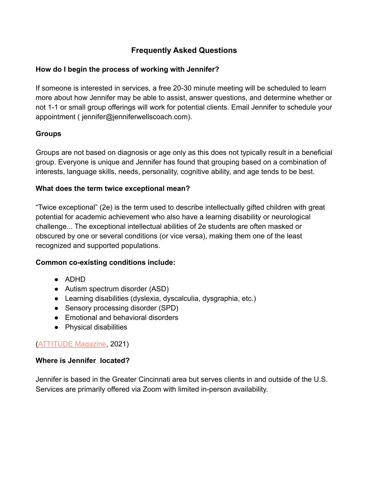# **Frequently Asked Questions**

### **How do I begin the process of working with Jennifer?**

If someone is interested in services, a free 20-30 minute meeting will be scheduled to learn more about how Jennifer may be able to assist, answer questions, and determine whether or not 1-1 or small group offerings will work for potential clients. Email Jennifer to schedule your appointment ( jennifer@jenniferwellscoach.com).

### **Groups**

Groups are not based on diagnosis or age only as this does not typically result in a beneficial group. Everyone is unique and Jennifer has found that grouping based on a combination of interests, language skills, needs, personality, cognitive ability, and age tends to be best.

#### **What does the term twice exceptional mean?**

"Twice exceptional" (2e) is the term used to describe intellectually gifted children with great potential for academic achievement who also have a learning disability or neurological challenge... The exceptional intellectual abilities of 2e students are often masked or obscured by one or several conditions (or vice versa), making them one of the least recognized and supported populations.

#### **Common co-existing conditions include:**

- ADHD
- Autism spectrum disorder (ASD)
- Learning disabilities (dyslexia, dyscalculia, dysgraphia, etc.)
- Sensory processing disorder (SPD)
- Emotional and behavioral disorders
- Physical disabilities

#### [\(ATTITUDE Magazine](https://www.additudemag.com/twice-exceptional-adhd-signs/), 2021)

#### **Where is Jennifer located?**

Jennifer is based in the Greater Cincinnati area but serves clients in and outside of the U.S. Services are primarily offered via Zoom with limited in-person availability.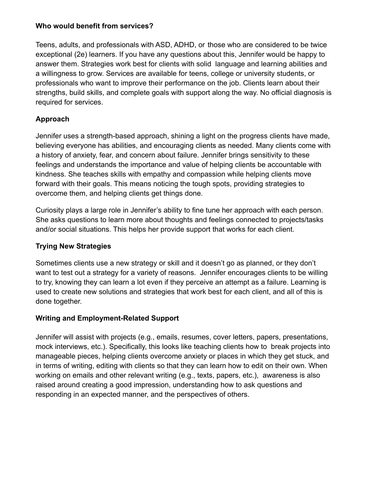### **Who would benefit from services?**

Teens, adults, and professionals with ASD, ADHD, or those who are considered to be twice exceptional (2e) learners. If you have any questions about this, Jennifer would be happy to answer them. Strategies work best for clients with solid language and learning abilities and a willingness to grow. Services are available for teens, college or university students, or professionals who want to improve their performance on the job. Clients learn about their strengths, build skills, and complete goals with support along the way. No official diagnosis is required for services.

# **Approach**

Jennifer uses a strength-based approach, shining a light on the progress clients have made, believing everyone has abilities, and encouraging clients as needed. Many clients come with a history of anxiety, fear, and concern about failure. Jennifer brings sensitivity to these feelings and understands the importance and value of helping clients be accountable with kindness. She teaches skills with empathy and compassion while helping clients move forward with their goals. This means noticing the tough spots, providing strategies to overcome them, and helping clients get things done.

Curiosity plays a large role in Jennifer's ability to fine tune her approach with each person. She asks questions to learn more about thoughts and feelings connected to projects/tasks and/or social situations. This helps her provide support that works for each client.

# **Trying New Strategies**

Sometimes clients use a new strategy or skill and it doesn't go as planned, or they don't want to test out a strategy for a variety of reasons. Jennifer encourages clients to be willing to try, knowing they can learn a lot even if they perceive an attempt as a failure. Learning is used to create new solutions and strategies that work best for each client, and all of this is done together.

# **Writing and Employment-Related Support**

Jennifer will assist with projects (e.g., emails, resumes, cover letters, papers, presentations, mock interviews, etc.). Specifically, this looks like teaching clients how to break projects into manageable pieces, helping clients overcome anxiety or places in which they get stuck, and in terms of writing, editing with clients so that they can learn how to edit on their own. When working on emails and other relevant writing (e.g., texts, papers, etc.), awareness is also raised around creating a good impression, understanding how to ask questions and responding in an expected manner, and the perspectives of others.